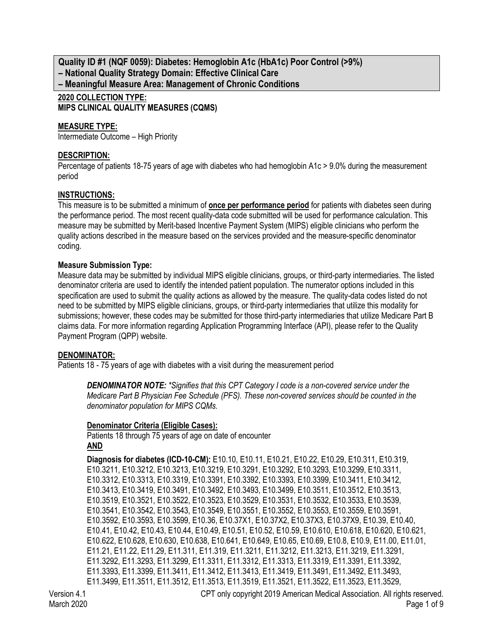**Quality ID #1 (NQF 0059): Diabetes: Hemoglobin A1c (HbA1c) Poor Control (>9%) – National Quality Strategy Domain: Effective Clinical Care – Meaningful Measure Area: Management of Chronic Conditions**

# **2020 COLLECTION TYPE: MIPS CLINICAL QUALITY MEASURES (CQMS)**

## **MEASURE TYPE:**

Intermediate Outcome – High Priority

## **DESCRIPTION:**

Percentage of patients 18-75 years of age with diabetes who had hemoglobin A1c > 9.0% during the measurement period

## **INSTRUCTIONS:**

This measure is to be submitted a minimum of **once per performance period** for patients with diabetes seen during the performance period. The most recent quality-data code submitted will be used for performance calculation. This measure may be submitted by Merit-based Incentive Payment System (MIPS) eligible clinicians who perform the quality actions described in the measure based on the services provided and the measure-specific denominator coding.

## **Measure Submission Type:**

Measure data may be submitted by individual MIPS eligible clinicians, groups, or third-party intermediaries. The listed denominator criteria are used to identify the intended patient population. The numerator options included in this specification are used to submit the quality actions as allowed by the measure. The quality-data codes listed do not need to be submitted by MIPS eligible clinicians, groups, or third-party intermediaries that utilize this modality for submissions; however, these codes may be submitted for those third-party intermediaries that utilize Medicare Part B claims data. For more information regarding Application Programming Interface (API), please refer to the Quality Payment Program (QPP) website.

## **DENOMINATOR:**

Patients 18 - 75 years of age with diabetes with a visit during the measurement period

*DENOMINATOR NOTE: \*Signifies that this CPT Category I code is a non-covered service under the Medicare Part B Physician Fee Schedule (PFS). These non-covered services should be counted in the denominator population for MIPS CQMs.*

## **Denominator Criteria (Eligible Cases):**

Patients 18 through 75 years of age on date of encounter **AND**

**Diagnosis for diabetes (ICD-10-CM):** E10.10, E10.11, E10.21, E10.22, E10.29, E10.311, E10.319, E10.3211, E10.3212, E10.3213, E10.3219, E10.3291, E10.3292, E10.3293, E10.3299, E10.3311, E10.3312, E10.3313, E10.3319, E10.3391, E10.3392, E10.3393, E10.3399, E10.3411, E10.3412, E10.3413, E10.3419, E10.3491, E10.3492, E10.3493, E10.3499, E10.3511, E10.3512, E10.3513, E10.3519, E10.3521, E10.3522, E10.3523, E10.3529, E10.3531, E10.3532, E10.3533, E10.3539, E10.3541, E10.3542, E10.3543, E10.3549, E10.3551, E10.3552, E10.3553, E10.3559, E10.3591, E10.3592, E10.3593, E10.3599, E10.36, E10.37X1, E10.37X2, E10.37X3, E10.37X9, E10.39, E10.40, E10.41, E10.42, E10.43, E10.44, E10.49, E10.51, E10.52, E10.59, E10.610, E10.618, E10.620, E10.621, E10.622, E10.628, E10.630, E10.638, E10.641, E10.649, E10.65, E10.69, E10.8, E10.9, E11.00, E11.01, E11.21, E11.22, E11.29, E11.311, E11.319, E11.3211, E11.3212, E11.3213, E11.3219, E11.3291, E11.3292, E11.3293, E11.3299, E11.3311, E11.3312, E11.3313, E11.3319, E11.3391, E11.3392, E11.3393, E11.3399, E11.3411, E11.3412, E11.3413, E11.3419, E11.3491, E11.3492, E11.3493, E11.3499, E11.3511, E11.3512, E11.3513, E11.3519, E11.3521, E11.3522, E11.3523, E11.3529,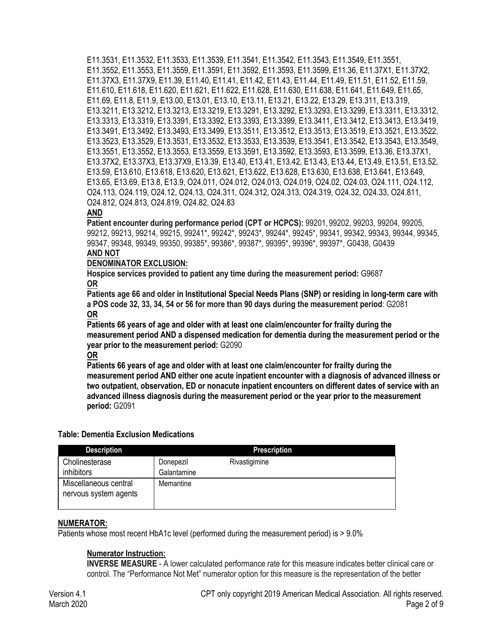E11.3531, E11.3532, E11.3533, E11.3539, E11.3541, E11.3542, E11.3543, E11.3549, E11.3551, E11.3552, E11.3553, E11.3559, E11.3591, E11.3592, E11.3593, E11.3599, E11.36, E11.37X1, E11.37X2, E11.37X3, E11.37X9, E11.39, E11.40, E11.41, E11.42, E11.43, E11.44, E11.49, E11.51, E11.52, E11.59, E11.610, E11.618, E11.620, E11.621, E11.622, E11.628, E11.630, E11.638, E11.641, E11.649, E11.65, E11.69, E11.8, E11.9, E13.00, E13.01, E13.10, E13.11, E13.21, E13.22, E13.29, E13.311, E13.319, E13.3211, E13.3212, E13.3213, E13.3219, E13.3291, E13.3292, E13.3293, E13.3299, E13.3311, E13.3312, E13.3313, E13.3319, E13.3391, E13.3392, E13.3393, E13.3399, E13.3411, E13.3412, E13.3413, E13.3419, E13.3491, E13.3492, E13.3493, E13.3499, E13.3511, E13.3512, E13.3513, E13.3519, E13.3521, E13.3522, E13.3523, E13.3529, E13.3531, E13.3532, E13.3533, E13.3539, E13.3541, E13.3542, E13.3543, E13.3549, E13.3551, E13.3552, E13.3553, E13.3559, E13.3591, E13.3592, E13.3593, E13.3599, E13.36, E13.37X1, E13.37X2, E13.37X3, E13.37X9, E13.39, E13.40, E13.41, E13.42, E13.43, E13.44, E13.49, E13.51, E13.52, E13.59, E13.610, E13.618, E13.620, E13.621, E13.622, E13.628, E13.630, E13.638, E13.641, E13.649, E13.65, E13.69, E13.8, E13.9, O24.011, O24.012, O24.013, O24.019, O24.02, O24.03, O24.111, O24.112, O24.113, O24.119, O24.12, O24.13, O24.311, O24.312, O24.313, O24.319, O24.32, O24.33, O24.811, O24.812, O24.813, O24.819, O24.82, O24.83

## **AND**

**Patient encounter during performance period (CPT or HCPCS):** 99201, 99202, 99203, 99204, 99205, 99212, 99213, 99214, 99215, 99241\*, 99242\*, 99243\*, 99244\*, 99245\*, 99341, 99342, 99343, 99344, 99345, 99347, 99348, 99349, 99350, 99385\*, 99386\*, 99387\*, 99395\*, 99396\*, 99397\*, G0438, G0439 **AND NOT**

#### **DENOMINATOR EXCLUSION:**

**Hospice services provided to patient any time during the measurement period:** G9687 **OR**

**Patients age 66 and older in Institutional Special Needs Plans (SNP) or residing in long-term care with a POS code 32, 33, 34, 54 or 56 for more than 90 days during the measurement period**: G2081 **OR**

**Patients 66 years of age and older with at least one claim/encounter for frailty during the measurement period AND a dispensed medication for dementia during the measurement period or the year prior to the measurement period:** G2090

**OR**

**Patients 66 years of age and older with at least one claim/encounter for frailty during the measurement period AND either one acute inpatient encounter with a diagnosis of advanced illness or two outpatient, observation, ED or nonacute inpatient encounters on different dates of service with an advanced illness diagnosis during the measurement period or the year prior to the measurement period:** G2091

| <b>Description</b>                             |                          | <b>Prescription</b> |  |
|------------------------------------------------|--------------------------|---------------------|--|
| Cholinesterase<br>inhibitors                   | Donepezil<br>Galantamine | Rivastigimine       |  |
| Miscellaneous central<br>nervous system agents | Memantine                |                     |  |

## **Table: Dementia Exclusion Medications**

#### **NUMERATOR:**

Patients whose most recent HbA1c level (performed during the measurement period) is  $> 9.0\%$ 

## **Numerator Instruction:**

**INVERSE MEASURE** - A lower calculated performance rate for this measure indicates better clinical care or control. The "Performance Not Met" numerator option for this measure is the representation of the better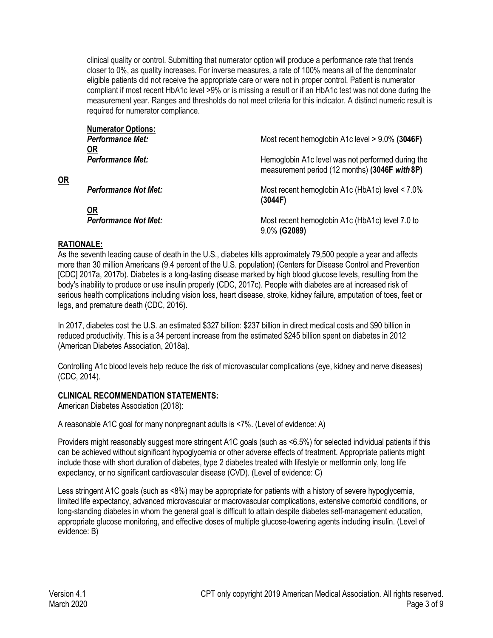clinical quality or control. Submitting that numerator option will produce a performance rate that trends closer to 0%, as quality increases. For inverse measures, a rate of 100% means all of the denominator eligible patients did not receive the appropriate care or were not in proper control. Patient is numerator compliant if most recent HbA1c level >9% or is missing a result or if an HbA1c test was not done during the measurement year. Ranges and thresholds do not meet criteria for this indicator. A distinct numeric result is required for numerator compliance.

| <b>Numerator Options:</b>   |                                                                                                     |
|-----------------------------|-----------------------------------------------------------------------------------------------------|
| <b>Performance Met:</b>     | Most recent hemoglobin A1c level > 9.0% (3046F)                                                     |
| <u>OR</u>                   |                                                                                                     |
| <b>Performance Met:</b>     | Hemoglobin A1c level was not performed during the<br>measurement period (12 months) (3046F with 8P) |
| <b>Performance Not Met:</b> | Most recent hemoglobin A1c (HbA1c) level < 7.0%<br>(3044F)                                          |
| <u>OR</u>                   |                                                                                                     |
| <b>Performance Not Met:</b> | Most recent hemoglobin A1c (HbA1c) level 7.0 to                                                     |
|                             | 9.0% (G2089)                                                                                        |

## **RATIONALE:**

**OR**

As the seventh leading cause of death in the U.S., diabetes kills approximately 79,500 people a year and affects more than 30 million Americans (9.4 percent of the U.S. population) (Centers for Disease Control and Prevention [CDC] 2017a, 2017b). Diabetes is a long-lasting disease marked by high blood glucose levels, resulting from the body's inability to produce or use insulin properly (CDC, 2017c). People with diabetes are at increased risk of serious health complications including vision loss, heart disease, stroke, kidney failure, amputation of toes, feet or legs, and premature death (CDC, 2016).

In 2017, diabetes cost the U.S. an estimated \$327 billion: \$237 billion in direct medical costs and \$90 billion in reduced productivity. This is a 34 percent increase from the estimated \$245 billion spent on diabetes in 2012 (American Diabetes Association, 2018a).

Controlling A1c blood levels help reduce the risk of microvascular complications (eye, kidney and nerve diseases) (CDC, 2014).

## **CLINICAL RECOMMENDATION STATEMENTS:**

American Diabetes Association (2018):

A reasonable A1C goal for many nonpregnant adults is <7%. (Level of evidence: A)

Providers might reasonably suggest more stringent A1C goals (such as <6.5%) for selected individual patients if this can be achieved without significant hypoglycemia or other adverse effects of treatment. Appropriate patients might include those with short duration of diabetes, type 2 diabetes treated with lifestyle or metformin only, long life expectancy, or no significant cardiovascular disease (CVD). (Level of evidence: C)

Less stringent A1C goals (such as <8%) may be appropriate for patients with a history of severe hypoglycemia, limited life expectancy, advanced microvascular or macrovascular complications, extensive comorbid conditions, or long-standing diabetes in whom the general goal is difficult to attain despite diabetes self-management education, appropriate glucose monitoring, and effective doses of multiple glucose-lowering agents including insulin. (Level of evidence: B)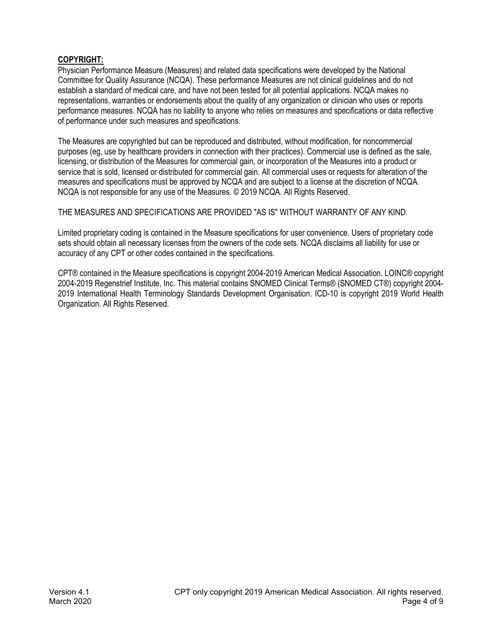# **COPYRIGHT:**

Physician Performance Measure (Measures) and related data specifications were developed by the National Committee for Quality Assurance (NCQA). These performance Measures are not clinical guidelines and do not establish a standard of medical care, and have not been tested for all potential applications. NCQA makes no representations, warranties or endorsements about the quality of any organization or clinician who uses or reports performance measures. NCQA has no liability to anyone who relies on measures and specifications or data reflective of performance under such measures and specifications.

The Measures are copyrighted but can be reproduced and distributed, without modification, for noncommercial purposes (eg, use by healthcare providers in connection with their practices). Commercial use is defined as the sale, licensing, or distribution of the Measures for commercial gain, or incorporation of the Measures into a product or service that is sold, licensed or distributed for commercial gain. All commercial uses or requests for alteration of the measures and specifications must be approved by NCQA and are subject to a license at the discretion of NCQA. NCQA is not responsible for any use of the Measures. © 2019 NCQA. All Rights Reserved.

THE MEASURES AND SPECIFICATIONS ARE PROVIDED "AS IS" WITHOUT WARRANTY OF ANY KIND.

Limited proprietary coding is contained in the Measure specifications for user convenience. Users of proprietary code sets should obtain all necessary licenses from the owners of the code sets. NCQA disclaims all liability for use or accuracy of any CPT or other codes contained in the specifications.

CPT® contained in the Measure specifications is copyright 2004-2019 American Medical Association. LOINC® copyright 2004-2019 Regenstrief Institute, Inc. This material contains SNOMED Clinical Terms® (SNOMED CT®) copyright 2004- 2019 International Health Terminology Standards Development Organisation. ICD-10 is copyright 2019 World Health Organization. All Rights Reserved.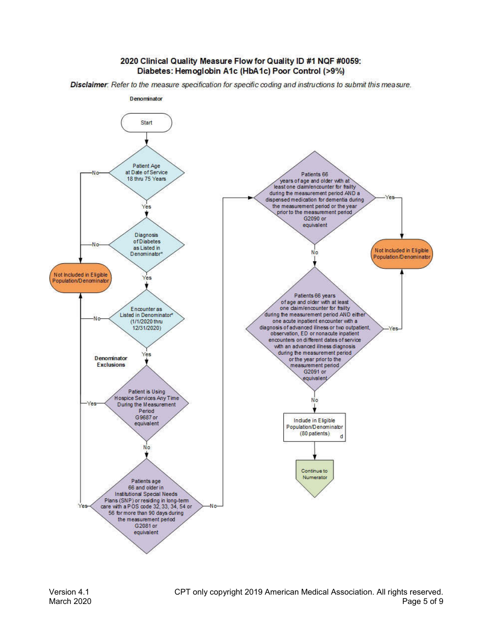#### 2020 Clinical Quality Measure Flow for Quality ID #1 NQF #0059: Diabetes: Hemoglobin A1c (HbA1c) Poor Control (>9%)

Disclaimer: Refer to the measure specification for specific coding and instructions to submit this measure.

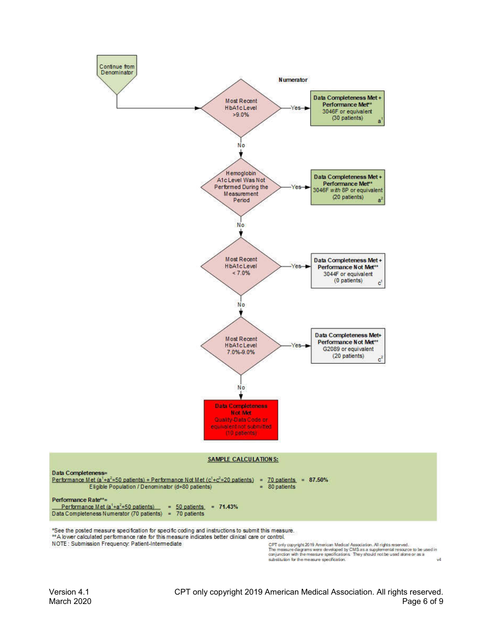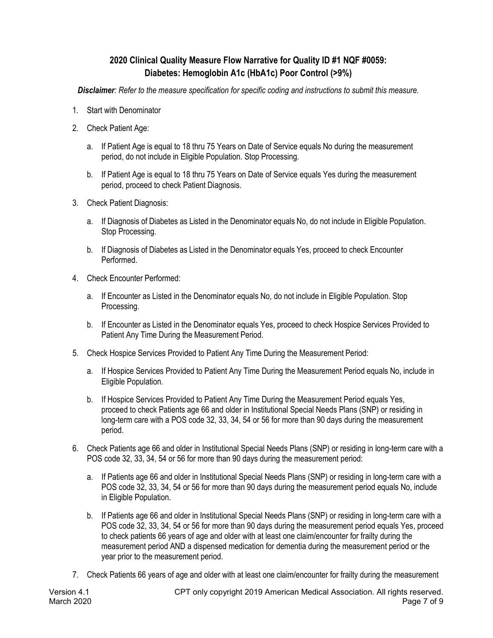# **2020 Clinical Quality Measure Flow Narrative for Quality ID #1 NQF #0059: Diabetes: Hemoglobin A1c (HbA1c) Poor Control (>9%)**

*Disclaimer: Refer to the measure specification for specific coding and instructions to submit this measure.*

- 1. Start with Denominator
- 2. Check Patient Age:
	- a. If Patient Age is equal to 18 thru 75 Years on Date of Service equals No during the measurement period, do not include in Eligible Population. Stop Processing.
	- b. If Patient Age is equal to 18 thru 75 Years on Date of Service equals Yes during the measurement period, proceed to check Patient Diagnosis.
- 3. Check Patient Diagnosis:
	- a. If Diagnosis of Diabetes as Listed in the Denominator equals No, do not include in Eligible Population. Stop Processing.
	- b. If Diagnosis of Diabetes as Listed in the Denominator equals Yes, proceed to check Encounter Performed.
- 4. Check Encounter Performed:
	- a. If Encounter as Listed in the Denominator equals No, do not include in Eligible Population. Stop Processing.
	- b. If Encounter as Listed in the Denominator equals Yes, proceed to check Hospice Services Provided to Patient Any Time During the Measurement Period.
- 5. Check Hospice Services Provided to Patient Any Time During the Measurement Period:
	- a. If Hospice Services Provided to Patient Any Time During the Measurement Period equals No, include in Eligible Population.
	- b. If Hospice Services Provided to Patient Any Time During the Measurement Period equals Yes, proceed to check Patients age 66 and older in Institutional Special Needs Plans (SNP) or residing in long-term care with a POS code 32, 33, 34, 54 or 56 for more than 90 days during the measurement period.
- 6. Check Patients age 66 and older in Institutional Special Needs Plans (SNP) or residing in long-term care with a POS code 32, 33, 34, 54 or 56 for more than 90 days during the measurement period:
	- a. If Patients age 66 and older in Institutional Special Needs Plans (SNP) or residing in long-term care with a POS code 32, 33, 34, 54 or 56 for more than 90 days during the measurement period equals No, include in Eligible Population.
	- b. If Patients age 66 and older in Institutional Special Needs Plans (SNP) or residing in long-term care with a POS code 32, 33, 34, 54 or 56 for more than 90 days during the measurement period equals Yes, proceed to check patients 66 years of age and older with at least one claim/encounter for frailty during the measurement period AND a dispensed medication for dementia during the measurement period or the year prior to the measurement period.
- 7. Check Patients 66 years of age and older with at least one claim/encounter for frailty during the measurement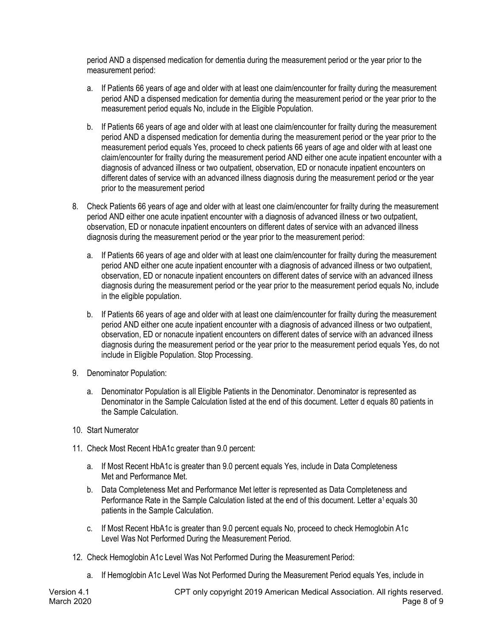period AND a dispensed medication for dementia during the measurement period or the year prior to the measurement period:

- a. If Patients 66 years of age and older with at least one claim/encounter for frailty during the measurement period AND a dispensed medication for dementia during the measurement period or the year prior to the measurement period equals No, include in the Eligible Population.
- b. If Patients 66 years of age and older with at least one claim/encounter for frailty during the measurement period AND a dispensed medication for dementia during the measurement period or the year prior to the measurement period equals Yes, proceed to check patients 66 years of age and older with at least one claim/encounter for frailty during the measurement period AND either one acute inpatient encounter with a diagnosis of advanced illness or two outpatient, observation, ED or nonacute inpatient encounters on different dates of service with an advanced illness diagnosis during the measurement period or the year prior to the measurement period
- 8. Check Patients 66 years of age and older with at least one claim/encounter for frailty during the measurement period AND either one acute inpatient encounter with a diagnosis of advanced illness or two outpatient, observation, ED or nonacute inpatient encounters on different dates of service with an advanced illness diagnosis during the measurement period or the year prior to the measurement period:
	- a. If Patients 66 years of age and older with at least one claim/encounter for frailty during the measurement period AND either one acute inpatient encounter with a diagnosis of advanced illness or two outpatient, observation, ED or nonacute inpatient encounters on different dates of service with an advanced illness diagnosis during the measurement period or the year prior to the measurement period equals No, include in the eligible population.
	- b. If Patients 66 years of age and older with at least one claim/encounter for frailty during the measurement period AND either one acute inpatient encounter with a diagnosis of advanced illness or two outpatient, observation, ED or nonacute inpatient encounters on different dates of service with an advanced illness diagnosis during the measurement period or the year prior to the measurement period equals Yes, do not include in Eligible Population. Stop Processing.
- 9. Denominator Population:
	- a. Denominator Population is all Eligible Patients in the Denominator. Denominator is represented as Denominator in the Sample Calculation listed at the end of this document. Letter d equals 80 patients in the Sample Calculation.
- 10. Start Numerator
- 11. Check Most Recent HbA1c greater than 9.0 percent:
	- a. If Most Recent HbA1c is greater than 9.0 percent equals Yes, include in Data Completeness Met and Performance Met.
	- b. Data Completeness Met and Performance Met letter is represented as Data Completeness and Performance Rate in the Sample Calculation listed at the end of this document. Letter a<sup>1</sup> equals 30 patients in the Sample Calculation.
	- c. If Most Recent HbA1c is greater than 9.0 percent equals No, proceed to check Hemoglobin A1c Level Was Not Performed During the Measurement Period.
- 12. Check Hemoglobin A1c Level Was Not Performed During the Measurement Period:
	- a. If Hemoglobin A1c Level Was Not Performed During the Measurement Period equals Yes, include in